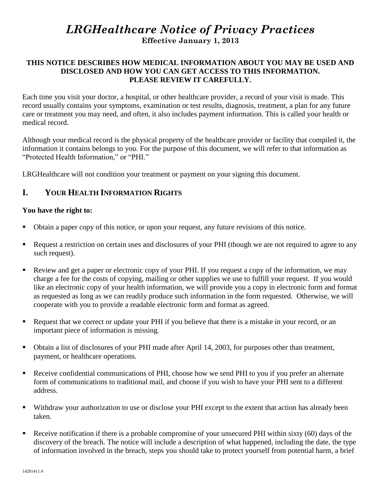# *LRGHealthcare Notice of Privacy Practices* **Effective January 1, 2013**

#### **THIS NOTICE DESCRIBES HOW MEDICAL INFORMATION ABOUT YOU MAY BE USED AND DISCLOSED AND HOW YOU CAN GET ACCESS TO THIS INFORMATION. PLEASE REVIEW IT CAREFULLY.**

Each time you visit your doctor, a hospital, or other healthcare provider, a record of your visit is made. This record usually contains your symptoms, examination or test results, diagnosis, treatment, a plan for any future care or treatment you may need, and often, it also includes payment information. This is called your health or medical record.

Although your medical record is the physical property of the healthcare provider or facility that compiled it, the information it contains belongs to you. For the purpose of this document, we will refer to that information as "Protected Health Information," or "PHI."

LRGHealthcare will not condition your treatment or payment on your signing this document.

### **I. YOUR HEALTH INFORMATION RIGHTS**

#### **You have the right to:**

- Obtain a paper copy of this notice, or upon your request, any future revisions of this notice.
- Request a restriction on certain uses and disclosures of your PHI (though we are not required to agree to any such request).
- Review and get a paper or electronic copy of your PHI. If you request a copy of the information, we may charge a fee for the costs of copying, mailing or other supplies we use to fulfill your request. If you would like an electronic copy of your health information, we will provide you a copy in electronic form and format as requested as long as we can readily produce such information in the form requested. Otherwise, we will cooperate with you to provide a readable electronic form and format as agreed.
- Request that we correct or update your PHI if you believe that there is a mistake in your record, or an important piece of information is missing.
- Obtain a list of disclosures of your PHI made after April 14, 2003, for purposes other than treatment, payment, or healthcare operations.
- Receive confidential communications of PHI, choose how we send PHI to you if you prefer an alternate form of communications to traditional mail, and choose if you wish to have your PHI sent to a different address.
- Withdraw your authorization to use or disclose your PHI except to the extent that action has already been taken.
- Receive notification if there is a probable compromise of your unsecured PHI within sixty (60) days of the discovery of the breach. The notice will include a description of what happened, including the date, the type of information involved in the breach, steps you should take to protect yourself from potential harm, a brief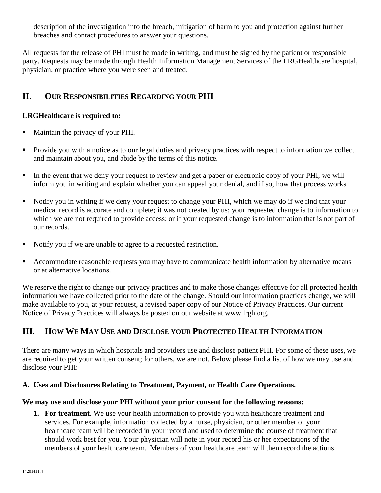description of the investigation into the breach, mitigation of harm to you and protection against further breaches and contact procedures to answer your questions.

All requests for the release of PHI must be made in writing, and must be signed by the patient or responsible party. Requests may be made through Health Information Management Services of the LRGHealthcare hospital, physician, or practice where you were seen and treated.

## **II. OUR RESPONSIBILITIES REGARDING YOUR PHI**

#### **LRGHealthcare is required to:**

- Maintain the privacy of your PHI.
- **Provide you with a notice as to our legal duties and privacy practices with respect to information we collect** and maintain about you, and abide by the terms of this notice.
- In the event that we deny your request to review and get a paper or electronic copy of your PHI, we will inform you in writing and explain whether you can appeal your denial, and if so, how that process works.
- Notify you in writing if we deny your request to change your PHI, which we may do if we find that your medical record is accurate and complete; it was not created by us; your requested change is to information to which we are not required to provide access; or if your requested change is to information that is not part of our records.
- Notify you if we are unable to agree to a requested restriction.
- Accommodate reasonable requests you may have to communicate health information by alternative means or at alternative locations.

We reserve the right to change our privacy practices and to make those changes effective for all protected health information we have collected prior to the date of the change. Should our information practices change, we will make available to you, at your request, a revised paper copy of our Notice of Privacy Practices. Our current Notice of Privacy Practices will always be posted on our website at www.lrgh.org.

### **III. HOW WE MAY USE AND DISCLOSE YOUR PROTECTED HEALTH INFORMATION**

There are many ways in which hospitals and providers use and disclose patient PHI. For some of these uses, we are required to get your written consent; for others, we are not. Below please find a list of how we may use and disclose your PHI:

#### **A. Uses and Disclosures Relating to Treatment, Payment, or Health Care Operations.**

#### **We may use and disclose your PHI without your prior consent for the following reasons:**

**1. For treatment**. We use your health information to provide you with healthcare treatment and services. For example, information collected by a nurse, physician, or other member of your healthcare team will be recorded in your record and used to determine the course of treatment that should work best for you. Your physician will note in your record his or her expectations of the members of your healthcare team. Members of your healthcare team will then record the actions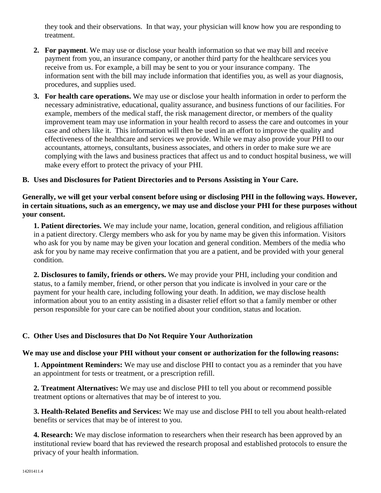they took and their observations. In that way, your physician will know how you are responding to treatment.

- **2. For payment**. We may use or disclose your health information so that we may bill and receive payment from you, an insurance company, or another third party for the healthcare services you receive from us. For example, a bill may be sent to you or your insurance company. The information sent with the bill may include information that identifies you, as well as your diagnosis, procedures, and supplies used.
- **3. For health care operations.** We may use or disclose your health information in order to perform the necessary administrative, educational, quality assurance, and business functions of our facilities. For example, members of the medical staff, the risk management director, or members of the quality improvement team may use information in your health record to assess the care and outcomes in your case and others like it. This information will then be used in an effort to improve the quality and effectiveness of the healthcare and services we provide. While we may also provide your PHI to our accountants, attorneys, consultants, business associates, and others in order to make sure we are complying with the laws and business practices that affect us and to conduct hospital business, we will make every effort to protect the privacy of your PHI.

#### **B. Uses and Disclosures for Patient Directories and to Persons Assisting in Your Care.**

#### **Generally, we will get your verbal consent before using or disclosing PHI in the following ways. However, in certain situations, such as an emergency, we may use and disclose your PHI for these purposes without your consent.**

**1. Patient directories.** We may include your name, location, general condition, and religious affiliation in a patient directory. Clergy members who ask for you by name may be given this information. Visitors who ask for you by name may be given your location and general condition. Members of the media who ask for you by name may receive confirmation that you are a patient, and be provided with your general condition.

**2. Disclosures to family, friends or others.** We may provide your PHI, including your condition and status, to a family member, friend, or other person that you indicate is involved in your care or the payment for your health care, including following your death. In addition, we may disclose health information about you to an entity assisting in a disaster relief effort so that a family member or other person responsible for your care can be notified about your condition, status and location.

#### **C. Other Uses and Disclosures that Do Not Require Your Authorization**

#### **We may use and disclose your PHI without your consent or authorization for the following reasons:**

**1. Appointment Reminders:** We may use and disclose PHI to contact you as a reminder that you have an appointment for tests or treatment, or a prescription refill.

**2. Treatment Alternatives:** We may use and disclose PHI to tell you about or recommend possible treatment options or alternatives that may be of interest to you.

**3. Health-Related Benefits and Services:** We may use and disclose PHI to tell you about health-related benefits or services that may be of interest to you.

**4. Research:** We may disclose information to researchers when their research has been approved by an institutional review board that has reviewed the research proposal and established protocols to ensure the privacy of your health information.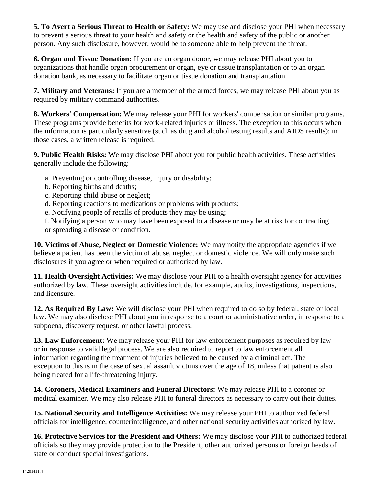**5. To Avert a Serious Threat to Health or Safety:** We may use and disclose your PHI when necessary to prevent a serious threat to your health and safety or the health and safety of the public or another person. Any such disclosure, however, would be to someone able to help prevent the threat.

**6. Organ and Tissue Donation:** If you are an organ donor, we may release PHI about you to organizations that handle organ procurement or organ, eye or tissue transplantation or to an organ donation bank, as necessary to facilitate organ or tissue donation and transplantation.

**7. Military and Veterans:** If you are a member of the armed forces, we may release PHI about you as required by military command authorities.

**8. Workers' Compensation:** We may release your PHI for workers' compensation or similar programs. These programs provide benefits for work-related injuries or illness. The exception to this occurs when the information is particularly sensitive (such as drug and alcohol testing results and AIDS results): in those cases, a written release is required.

**9. Public Health Risks:** We may disclose PHI about you for public health activities. These activities generally include the following:

- a. Preventing or controlling disease, injury or disability;
- b. Reporting births and deaths;
- c. Reporting child abuse or neglect;
- d. Reporting reactions to medications or problems with products;
- e. Notifying people of recalls of products they may be using;

f. Notifying a person who may have been exposed to a disease or may be at risk for contracting or spreading a disease or condition.

**10. Victims of Abuse, Neglect or Domestic Violence:** We may notify the appropriate agencies if we believe a patient has been the victim of abuse, neglect or domestic violence. We will only make such disclosures if you agree or when required or authorized by law.

**11. Health Oversight Activities:** We may disclose your PHI to a health oversight agency for activities authorized by law. These oversight activities include, for example, audits, investigations, inspections, and licensure.

**12. As Required By Law:** We will disclose your PHI when required to do so by federal, state or local law. We may also disclose PHI about you in response to a court or administrative order, in response to a subpoena, discovery request, or other lawful process.

**13. Law Enforcement:** We may release your PHI for law enforcement purposes as required by law or in response to valid legal process. We are also required to report to law enforcement all information regarding the treatment of injuries believed to be caused by a criminal act. The exception to this is in the case of sexual assault victims over the age of 18, unless that patient is also being treated for a life-threatening injury.

**14. Coroners, Medical Examiners and Funeral Directors:** We may release PHI to a coroner or medical examiner. We may also release PHI to funeral directors as necessary to carry out their duties.

**15. National Security and Intelligence Activities:** We may release your PHI to authorized federal officials for intelligence, counterintelligence, and other national security activities authorized by law.

**16. Protective Services for the President and Others:** We may disclose your PHI to authorized federal officials so they may provide protection to the President, other authorized persons or foreign heads of state or conduct special investigations.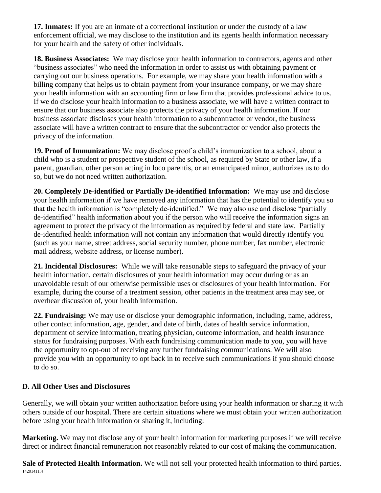**17. Inmates:** If you are an inmate of a correctional institution or under the custody of a law enforcement official, we may disclose to the institution and its agents health information necessary for your health and the safety of other individuals.

**18. Business Associates:** We may disclose your health information to contractors, agents and other "business associates" who need the information in order to assist us with obtaining payment or carrying out our business operations. For example, we may share your health information with a billing company that helps us to obtain payment from your insurance company, or we may share your health information with an accounting firm or law firm that provides professional advice to us. If we do disclose your health information to a business associate, we will have a written contract to ensure that our business associate also protects the privacy of your health information. If our business associate discloses your health information to a subcontractor or vendor, the business associate will have a written contract to ensure that the subcontractor or vendor also protects the privacy of the information.

**19. Proof of Immunization:** We may disclose proof a child's immunization to a school, about a child who is a student or prospective student of the school, as required by State or other law, if a parent, guardian, other person acting in loco parentis, or an emancipated minor, authorizes us to do so, but we do not need written authorization.

**20. Completely De-identified or Partially De-identified Information:** We may use and disclose your health information if we have removed any information that has the potential to identify you so that the health information is "completely de-identified." We may also use and disclose "partially de-identified" health information about you if the person who will receive the information signs an agreement to protect the privacy of the information as required by federal and state law. Partially de-identified health information will not contain any information that would directly identify you (such as your name, street address, social security number, phone number, fax number, electronic mail address, website address, or license number).

**21. Incidental Disclosures:** While we will take reasonable steps to safeguard the privacy of your health information, certain disclosures of your health information may occur during or as an unavoidable result of our otherwise permissible uses or disclosures of your health information. For example, during the course of a treatment session, other patients in the treatment area may see, or overhear discussion of, your health information.

**22. Fundraising:** We may use or disclose your demographic information, including, name, address, other contact information, age, gender, and date of birth, dates of health service information, department of service information, treating physician, outcome information, and health insurance status for fundraising purposes. With each fundraising communication made to you, you will have the opportunity to opt-out of receiving any further fundraising communications. We will also provide you with an opportunity to opt back in to receive such communications if you should choose to do so.

### **D. All Other Uses and Disclosures**

Generally, we will obtain your written authorization before using your health information or sharing it with others outside of our hospital. There are certain situations where we must obtain your written authorization before using your health information or sharing it, including:

**Marketing.** We may not disclose any of your health information for marketing purposes if we will receive direct or indirect financial remuneration not reasonably related to our cost of making the communication.

14201411.4 **Sale of Protected Health Information.** We will not sell your protected health information to third parties.